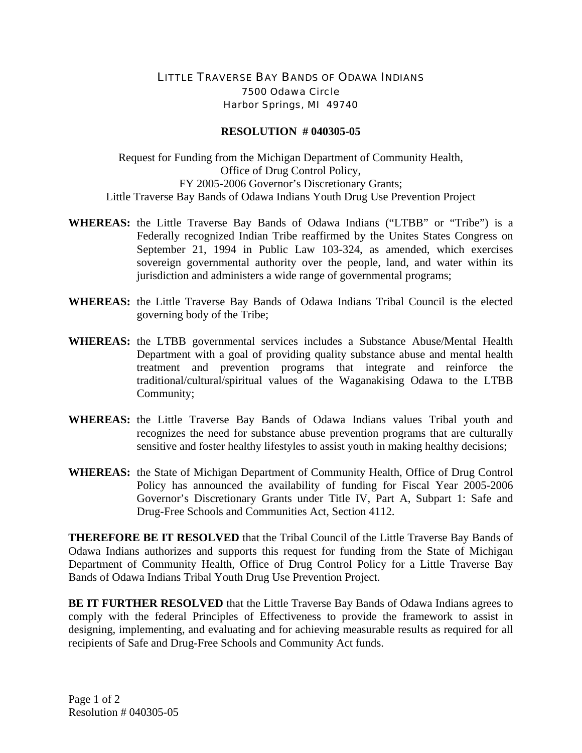## LITTLE TRAVERSE BAY BANDS OF ODAWA INDIANS 7500 Odawa Circle Harbor Springs, MI 49740

## **RESOLUTION # 040305-05**

Request for Funding from the Michigan Department of Community Health, Office of Drug Control Policy, FY 2005-2006 Governor's Discretionary Grants; Little Traverse Bay Bands of Odawa Indians Youth Drug Use Prevention Project

- **WHEREAS:** the Little Traverse Bay Bands of Odawa Indians ("LTBB" or "Tribe") is a Federally recognized Indian Tribe reaffirmed by the Unites States Congress on September 21, 1994 in Public Law 103-324, as amended, which exercises sovereign governmental authority over the people, land, and water within its jurisdiction and administers a wide range of governmental programs;
- **WHEREAS:** the Little Traverse Bay Bands of Odawa Indians Tribal Council is the elected governing body of the Tribe;
- **WHEREAS:** the LTBB governmental services includes a Substance Abuse/Mental Health Department with a goal of providing quality substance abuse and mental health treatment and prevention programs that integrate and reinforce the traditional/cultural/spiritual values of the Waganakising Odawa to the LTBB Community;
- **WHEREAS:** the Little Traverse Bay Bands of Odawa Indians values Tribal youth and recognizes the need for substance abuse prevention programs that are culturally sensitive and foster healthy lifestyles to assist youth in making healthy decisions;
- **WHEREAS:** the State of Michigan Department of Community Health, Office of Drug Control Policy has announced the availability of funding for Fiscal Year 2005-2006 Governor's Discretionary Grants under Title IV, Part A, Subpart 1: Safe and Drug-Free Schools and Communities Act, Section 4112.

**THEREFORE BE IT RESOLVED** that the Tribal Council of the Little Traverse Bay Bands of Odawa Indians authorizes and supports this request for funding from the State of Michigan Department of Community Health, Office of Drug Control Policy for a Little Traverse Bay Bands of Odawa Indians Tribal Youth Drug Use Prevention Project.

**BE IT FURTHER RESOLVED** that the Little Traverse Bay Bands of Odawa Indians agrees to comply with the federal Principles of Effectiveness to provide the framework to assist in designing, implementing, and evaluating and for achieving measurable results as required for all recipients of Safe and Drug-Free Schools and Community Act funds.